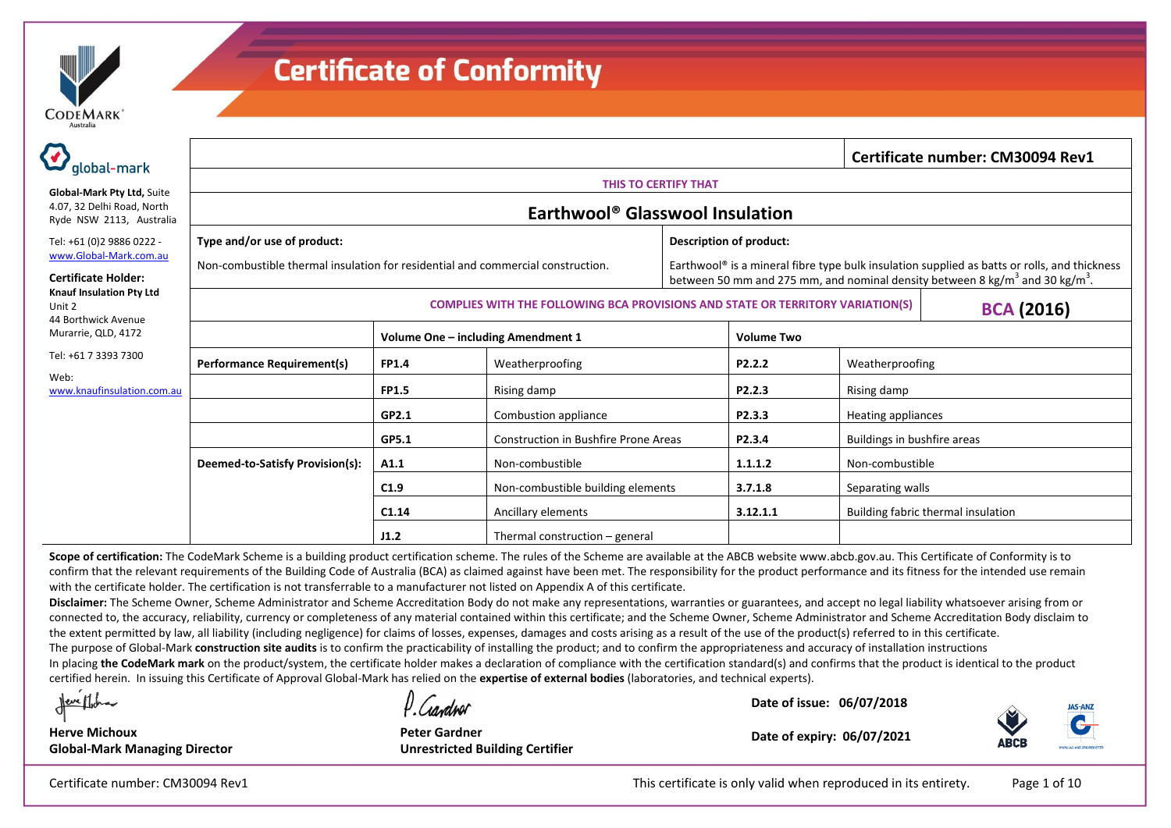

| global-mark                                                                          | Certificate number: CM30094 Rev1                                                      |                                    |                                             |                                                                                                                                                                                                      |                         |                             |                                    |  |  |  |
|--------------------------------------------------------------------------------------|---------------------------------------------------------------------------------------|------------------------------------|---------------------------------------------|------------------------------------------------------------------------------------------------------------------------------------------------------------------------------------------------------|-------------------------|-----------------------------|------------------------------------|--|--|--|
|                                                                                      |                                                                                       | THIS TO CERTIFY THAT               |                                             |                                                                                                                                                                                                      |                         |                             |                                    |  |  |  |
| Global-Mark Pty Ltd, Suite<br>4.07, 32 Delhi Road, North<br>Ryde NSW 2113, Australia |                                                                                       |                                    | Earthwool <sup>®</sup> Glasswool Insulation |                                                                                                                                                                                                      |                         |                             |                                    |  |  |  |
| Tel: +61 (0)2 9886 0222 -                                                            | Type and/or use of product:                                                           |                                    |                                             |                                                                                                                                                                                                      | Description of product: |                             |                                    |  |  |  |
| www.Global-Mark.com.au<br><b>Certificate Holder:</b>                                 | Non-combustible thermal insulation for residential and commercial construction.       |                                    |                                             | Earthwool® is a mineral fibre type bulk insulation supplied as batts or rolls, and thickness<br>between 50 mm and 275 mm, and nominal density between 8 kg/m <sup>3</sup> and 30 kg/m <sup>3</sup> . |                         |                             |                                    |  |  |  |
| <b>Knauf Insulation Pty Ltd</b><br>Unit 2<br>44 Borthwick Avenue                     | <b>COMPLIES WITH THE FOLLOWING BCA PROVISIONS AND STATE OR TERRITORY VARIATION(S)</b> |                                    |                                             |                                                                                                                                                                                                      |                         |                             | <b>BCA (2016)</b>                  |  |  |  |
| Murarrie, QLD, 4172                                                                  |                                                                                       | Volume One - including Amendment 1 |                                             |                                                                                                                                                                                                      | <b>Volume Two</b>       |                             |                                    |  |  |  |
| Tel: +61 7 3393 7300                                                                 | <b>Performance Requirement(s)</b>                                                     | <b>FP1.4</b>                       | Weatherproofing                             |                                                                                                                                                                                                      | P <sub>2</sub> .2.2     | Weatherproofing             |                                    |  |  |  |
| Web:<br>www.knaufinsulation.com.au                                                   |                                                                                       | <b>FP1.5</b>                       | Rising damp                                 |                                                                                                                                                                                                      | P <sub>2.2.3</sub>      | Rising damp                 |                                    |  |  |  |
|                                                                                      |                                                                                       | GP2.1                              | Combustion appliance                        |                                                                                                                                                                                                      | P2.3.3                  | Heating appliances          |                                    |  |  |  |
|                                                                                      |                                                                                       | GP5.1                              | <b>Construction in Bushfire Prone Areas</b> |                                                                                                                                                                                                      | P2.3.4                  | Buildings in bushfire areas |                                    |  |  |  |
|                                                                                      | Deemed-to-Satisfy Provision(s):                                                       | A1.1                               | Non-combustible                             |                                                                                                                                                                                                      | 1.1.1.2                 | Non-combustible             |                                    |  |  |  |
|                                                                                      |                                                                                       | C1.9                               | Non-combustible building elements           |                                                                                                                                                                                                      | 3.7.1.8                 | Separating walls            |                                    |  |  |  |
|                                                                                      |                                                                                       | C1.14                              | Ancillary elements                          |                                                                                                                                                                                                      | 3.12.1.1                |                             | Building fabric thermal insulation |  |  |  |
|                                                                                      |                                                                                       | J1.2                               | Thermal construction – general              |                                                                                                                                                                                                      |                         |                             |                                    |  |  |  |

Scope of certification: The CodeMark Scheme is a building product certification scheme. The rules of the Scheme are available at the ABCB website www.abcb.gov.au. This Certificate of Conformity is to confirm that the relevant requirements of the Building Code of Australia (BCA) as claimed against have been met. The responsibility for the product performance and its fitness for the intended use remain with the certificate holder. The certification is not transferrable to a manufacturer not listed on Appendix A of this certificate.

**Disclaimer:** The Scheme Owner, Scheme Administrator and Scheme Accreditation Body do not make any representations, warranties or guarantees, and accept no legal liability whatsoever arising from or connected to, the accuracy, reliability, currency or completeness of any material contained within this certificate; and the Scheme Owner, Scheme Administrator and Scheme Accreditation Body disclaim to the extent permitted by law, all liability (including negligence) for claims of losses, expenses, damages and costs arising as a result of the use of the product(s) referred to in this certificate.

The purpose of Global-Mark **construction site audits** is to confirm the practicability of installing the product; and to confirm the appropriateness and accuracy of installation instructions

In placing **the CodeMark mark** on the product/system, the certificate holder makes a declaration of compliance with the certification standard(s) and confirms that the product is identical to the product certified herein. In issuing this Certificate of Approval Global-Mark has relied on the **expertise of external bodies** (laboratories, and technical experts).

Neve Mich

**Herve Michoux**

l Candrol

**Peter Gardner Unrestricted Building Certifier**

**Date of issue: 06/07/2018**



**Date of expiry: 06/07/2021**

**Global-Mark Managing Director**

Certificate number: CM30094 Rev1 **Page 1 of 10** This certificate is only valid when reproduced in its entirety. Page 1 of 10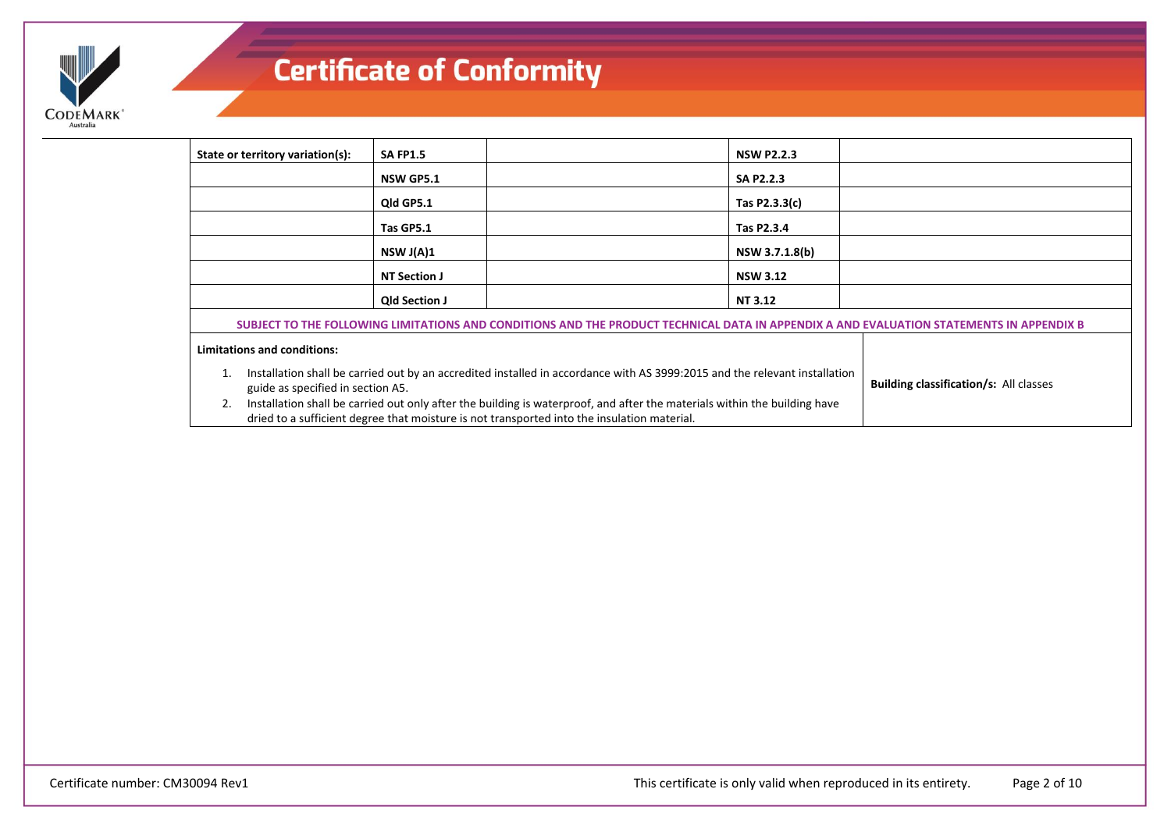

| State or territory variation(s):                                                                                                                                                                                               | <b>SA FP1.5</b>      |                                                                                                                            | <b>NSW P2.2.3</b> |                                                                                                                                          |
|--------------------------------------------------------------------------------------------------------------------------------------------------------------------------------------------------------------------------------|----------------------|----------------------------------------------------------------------------------------------------------------------------|-------------------|------------------------------------------------------------------------------------------------------------------------------------------|
|                                                                                                                                                                                                                                | <b>NSW GP5.1</b>     |                                                                                                                            | SA P2.2.3         |                                                                                                                                          |
|                                                                                                                                                                                                                                | Qld GP5.1            |                                                                                                                            | Tas P2.3.3(c)     |                                                                                                                                          |
|                                                                                                                                                                                                                                | Tas GP5.1            |                                                                                                                            | Tas P2.3.4        |                                                                                                                                          |
|                                                                                                                                                                                                                                | NSW J(A)1            |                                                                                                                            | NSW 3.7.1.8(b)    |                                                                                                                                          |
|                                                                                                                                                                                                                                | <b>NT Section J</b>  |                                                                                                                            | <b>NSW 3.12</b>   |                                                                                                                                          |
|                                                                                                                                                                                                                                | <b>Qld Section J</b> |                                                                                                                            | NT 3.12           |                                                                                                                                          |
|                                                                                                                                                                                                                                |                      |                                                                                                                            |                   | SUBJECT TO THE FOLLOWING LIMITATIONS AND CONDITIONS AND THE PRODUCT TECHNICAL DATA IN APPENDIX A AND EVALUATION STATEMENTS IN APPENDIX B |
| <b>Limitations and conditions:</b>                                                                                                                                                                                             |                      |                                                                                                                            |                   |                                                                                                                                          |
| guide as specified in section A5.                                                                                                                                                                                              |                      | Installation shall be carried out by an accredited installed in accordance with AS 3999:2015 and the relevant installation |                   | <b>Building classification/s: All classes</b>                                                                                            |
| Installation shall be carried out only after the building is waterproof, and after the materials within the building have<br>2.<br>dried to a sufficient degree that moisture is not transported into the insulation material. |                      |                                                                                                                            |                   |                                                                                                                                          |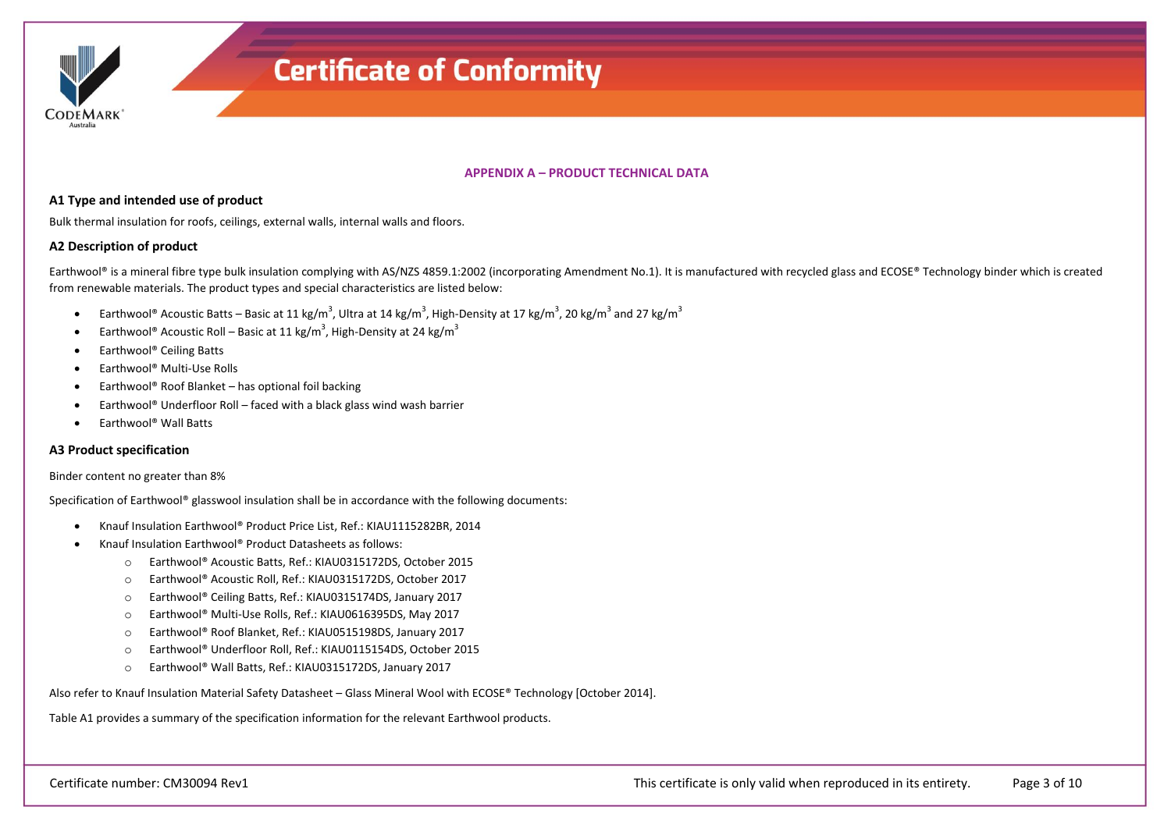

### **APPENDIX A – PRODUCT TECHNICAL DATA**

#### **A1 Type and intended use of product**

Bulk thermal insulation for roofs, ceilings, external walls, internal walls and floors.

### **A2 Description of product**

Earthwool® is a mineral fibre type bulk insulation complying with AS/NZS 4859.1:2002 (incorporating Amendment No.1). It is manufactured with recycled glass and ECOSE® Technology binder which is created from renewable materials. The product types and special characteristics are listed below:

- Earthwool® Acoustic Batts Basic at 11 kg/m<sup>3</sup>, Ultra at 14 kg/m<sup>3</sup>, High-Density at 17 kg/m<sup>3</sup>, 20 kg/m<sup>3</sup> and 27 kg/m<sup>3</sup>
- Earthwool® Acoustic Roll Basic at 11 kg/m<sup>3</sup>, High-Density at 24 kg/m<sup>3</sup>
- Earthwool® Ceiling Batts
- Earthwool<sup>®</sup> Multi-Use Rolls
- **•** Earthwool<sup>®</sup> Roof Blanket has optional foil backing
- Earthwool® Underfloor Roll faced with a black glass wind wash barrier
- Earthwool® Wall Batts

#### **A3 Product specification**

#### Binder content no greater than 8%

Specification of Earthwool® glasswool insulation shall be in accordance with the following documents:

- Knauf Insulation Earthwool® Product Price List, Ref.: KIAU1115282BR, 2014
- Knauf Insulation Earthwool® Product Datasheets as follows:
	- o Earthwool® Acoustic Batts, Ref.: KIAU0315172DS, October 2015
	- o Earthwool® Acoustic Roll, Ref.: KIAU0315172DS, October 2017
	- o Earthwool® Ceiling Batts, Ref.: KIAU0315174DS, January 2017
	- o Earthwool® Multi-Use Rolls, Ref.: KIAU0616395DS, May 2017
	- o Earthwool® Roof Blanket, Ref.: KIAU0515198DS, January 2017
	- o Earthwool® Underfloor Roll, Ref.: KIAU0115154DS, October 2015
	- o Earthwool® Wall Batts, Ref.: KIAU0315172DS, January 2017

Also refer to Knauf Insulation Material Safety Datasheet – Glass Mineral Wool with ECOSE® Technology [October 2014].

Table A1 provides a summary of the specification information for the relevant Earthwool products.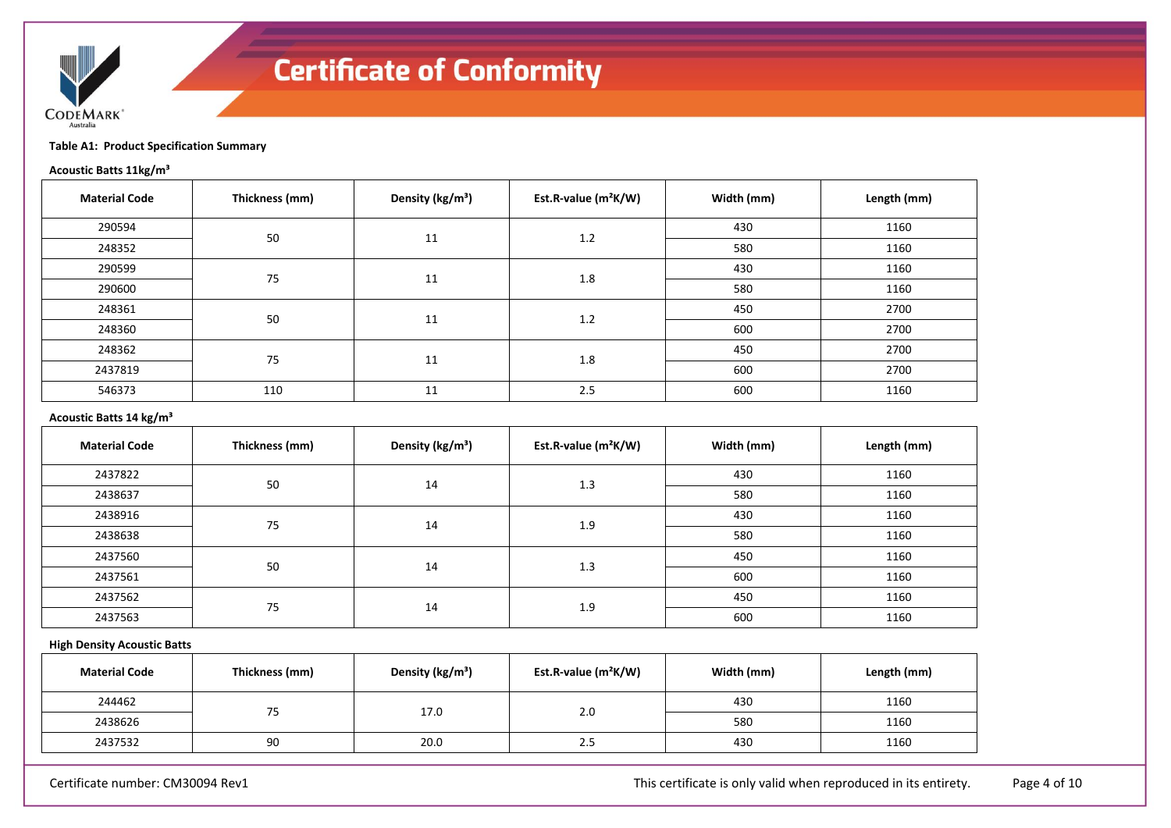

**Table A1: Product Specification Summary**

# **Acoustic Batts 11kg/m³**

| <b>Material Code</b> | Thickness (mm) | Density (kg/m <sup>3</sup> ) | Est.R-value $(m^2K/W)$ | Width (mm) | Length (mm) |
|----------------------|----------------|------------------------------|------------------------|------------|-------------|
| 290594               | 50             | 11                           | 1.2                    | 430        | 1160        |
| 248352               |                |                              |                        | 580        | 1160        |
| 290599               | 75             | 11                           | 1.8                    | 430        | 1160        |
| 290600               |                |                              |                        | 580        | 1160        |
| 248361               | 50             | 11                           | 1.2                    | 450        | 2700        |
| 248360               |                |                              |                        | 600        | 2700        |
| 248362               |                | 11                           | 1.8                    | 450        | 2700        |
| 2437819              | 75             |                              |                        | 600        | 2700        |
| 546373               | 110            | 11                           | 2.5                    | 600        | 1160        |

# **Acoustic Batts 14 kg/m³**

| <b>Material Code</b> | Thickness (mm) | Density (kg/m <sup>3</sup> ) | Est.R-value $(m^2K/W)$ | Width (mm) | Length (mm) |
|----------------------|----------------|------------------------------|------------------------|------------|-------------|
| 2437822              |                | 14                           |                        | 430        | 1160        |
| 2438637              | 50             |                              | 1.3                    | 580        | 1160        |
| 2438916              | 75             | 14                           | 1.9                    | 430        | 1160        |
| 2438638              |                |                              |                        | 580        | 1160        |
| 2437560              |                | 14                           | 1.3                    | 450        | 1160        |
| 2437561              | 50             |                              |                        | 600        | 1160        |
| 2437562              | 75             |                              | 1.9                    | 450        | 1160        |
| 2437563              |                | 14                           |                        | 600        | 1160        |

### **High Density Acoustic Batts**

| <b>Material Code</b> | Thickness (mm) | Density (kg/m <sup>3</sup> ) | Est.R-value (m <sup>2</sup> K/W) | Width (mm) | Length (mm) |
|----------------------|----------------|------------------------------|----------------------------------|------------|-------------|
| 244462               | $-$<br>75      | 17.0                         | 2.0                              | 430        | 1160        |
| 2438626              |                |                              |                                  | 580        | 1160        |
| 2437532              | 90             | 20.0                         | 2.5                              | 430        | 1160        |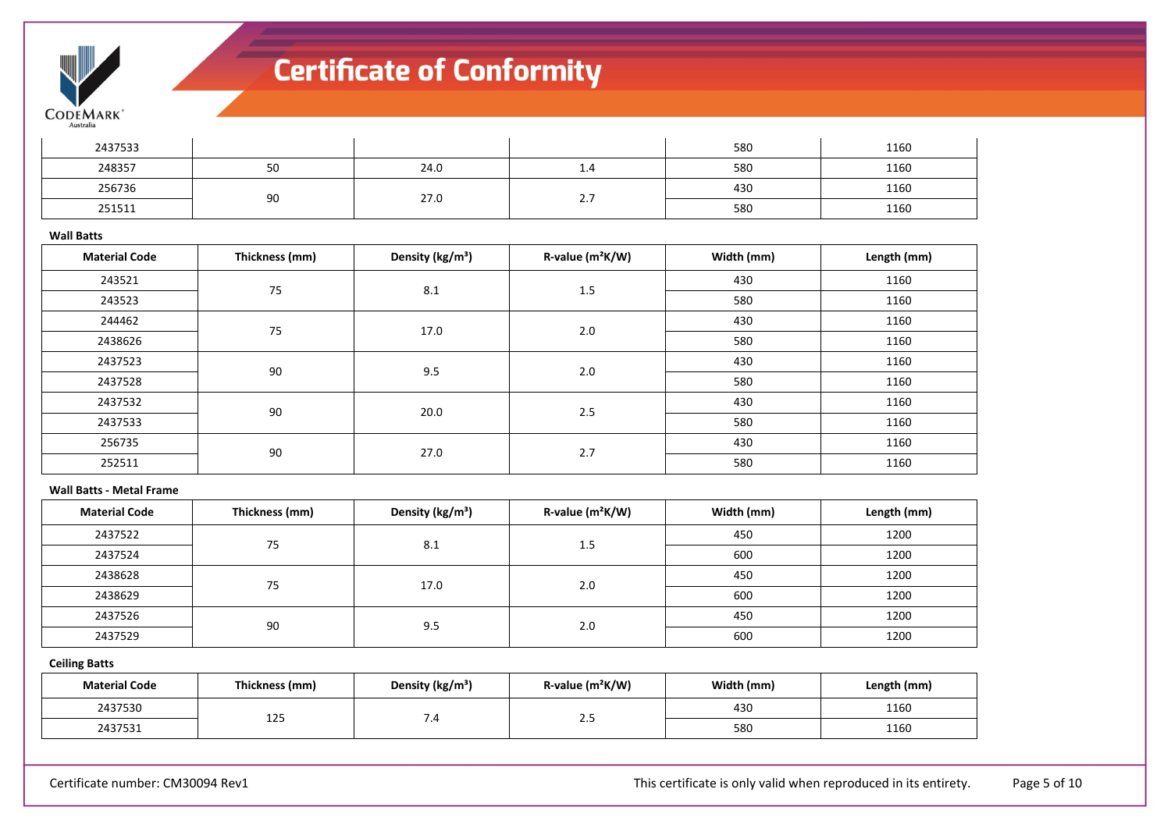

| 2437533 |    |      |                 | 580 | 1160 |
|---------|----|------|-----------------|-----|------|
| 248357  | 50 | 24.0 | 1.4             | 580 | 1160 |
| 256736  |    | 27.0 |                 | 430 | 1160 |
| 251511  | 90 |      | $\mathcal{L}$ . | 580 | 1160 |

#### **Wall Batts**

| <b>Material Code</b> | Thickness (mm) | Density (kg/m <sup>3</sup> ) | $R$ -value ( $m^2K/W$ ) | Width (mm) | Length (mm) |
|----------------------|----------------|------------------------------|-------------------------|------------|-------------|
| 243521               | 75             | 8.1                          | 1.5                     | 430        | 1160        |
| 243523               |                |                              |                         | 580        | 1160        |
| 244462               | 75             | 17.0                         | 2.0                     | 430        | 1160        |
| 2438626              |                |                              |                         | 580        | 1160        |
| 2437523              | 90             | 9.5                          | 2.0                     | 430        | 1160        |
| 2437528              |                |                              |                         | 580        | 1160        |
| 2437532              |                | 20.0                         | 2.5                     | 430        | 1160        |
| 2437533              | 90             |                              |                         | 580        | 1160        |
| 256735               | 90             |                              | 2.7                     | 430        | 1160        |
| 252511               |                | 27.0                         |                         | 580        | 1160        |

#### **Wall Batts - Metal Frame**

| <b>Material Code</b> | Thickness (mm) | Density (kg/m <sup>3</sup> ) | R-value $(m^2K/W)$ | Width (mm) | Length (mm) |
|----------------------|----------------|------------------------------|--------------------|------------|-------------|
| 2437522              | 75             | 8.1                          | 1.5                | 450        | 1200        |
| 2437524              |                |                              |                    | 600        | 1200        |
| 2438628              | 75             | 17.0                         |                    | 450        | 1200        |
| 2438629              |                |                              | 2.0                | 600        | 1200        |
| 2437526              |                | 9.5                          | 2.0                | 450        | 1200        |
| 2437529              | 90             |                              |                    | 600        | 1200        |

# **Ceiling Batts**

| <b>Material Code</b> | Thickness (mm)       | Density (kg/m <sup>3</sup> ) | $R$ -value ( $m^2K/W$ ) | Width (mm) | Length (mm) |
|----------------------|----------------------|------------------------------|-------------------------|------------|-------------|
| 2437530              | $\sim$ $\sim$ $\sim$ |                              |                         | 430        | 1160        |
| 2437531              | 125                  |                              | ر . ے                   | 580        | 1160        |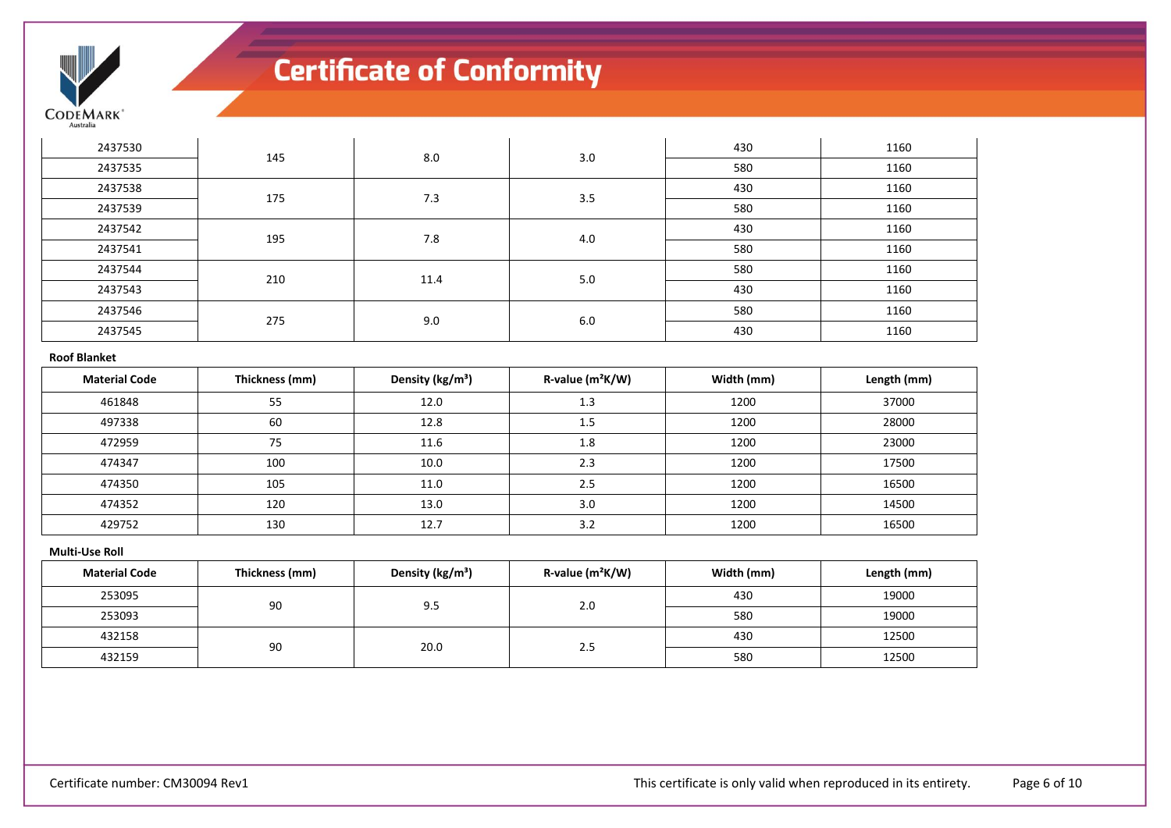

| 2437530              | 145            | 8.0                          | 3.0                          | 430        | 1160        |
|----------------------|----------------|------------------------------|------------------------------|------------|-------------|
| 2437535              |                |                              |                              | 580        | 1160        |
| 2437538              | 175            | 7.3                          | 3.5                          | 430        | 1160        |
| 2437539              |                |                              |                              | 580        | 1160        |
| 2437542              | 195            | 7.8                          | 4.0                          | 430        | 1160        |
| 2437541              |                |                              |                              | 580        | 1160        |
| 2437544              |                | 11.4                         | 5.0                          | 580        | 1160        |
| 2437543              | 210            |                              |                              | 430        | 1160        |
| 2437546              | 275            | 9.0                          | 6.0                          | 580        | 1160        |
| 2437545              |                |                              |                              | 430        | 1160        |
| <b>Roof Blanket</b>  |                |                              |                              |            |             |
| <b>Material Code</b> | Thickness (mm) | Density (kg/m <sup>3</sup> ) | R-value (m <sup>2</sup> K/W) | Width (mm) | Length (mm) |
| 461848               | 55             | 12.0                         | 1.3                          | 1200       | 37000       |
| 497338               | 60             | 12.8                         | 1.5                          | 1200       | 28000       |

| 472959 | 75  | 11.6 | 1.8                   | 1200 | 23000 |
|--------|-----|------|-----------------------|------|-------|
| 474347 | 100 | 10.0 | 2.3                   | 1200 | 17500 |
| 474350 | 105 | 11.0 | 2.5                   | 1200 | 16500 |
| 474352 | 120 | 13.0 | 3.0                   | 1200 | 14500 |
| 429752 | 130 | 12.7 | 2 <sub>2</sub><br>J.Z | 1200 | 16500 |

### **Multi-Use Roll**

| <b>Material Code</b> | Thickness (mm) | Density (kg/m <sup>3</sup> ) | $R$ -value $(m^2K/W)$ | Width (mm) | Length (mm) |
|----------------------|----------------|------------------------------|-----------------------|------------|-------------|
| 253095               | 90             | 9.5                          | 2.0                   | 430        | 19000       |
| 253093               |                |                              |                       | 580        | 19000       |
| 432158               |                | 20.0                         |                       | 430        | 12500       |
| 432159               | 90             |                              | 2.5                   | 580        | 12500       |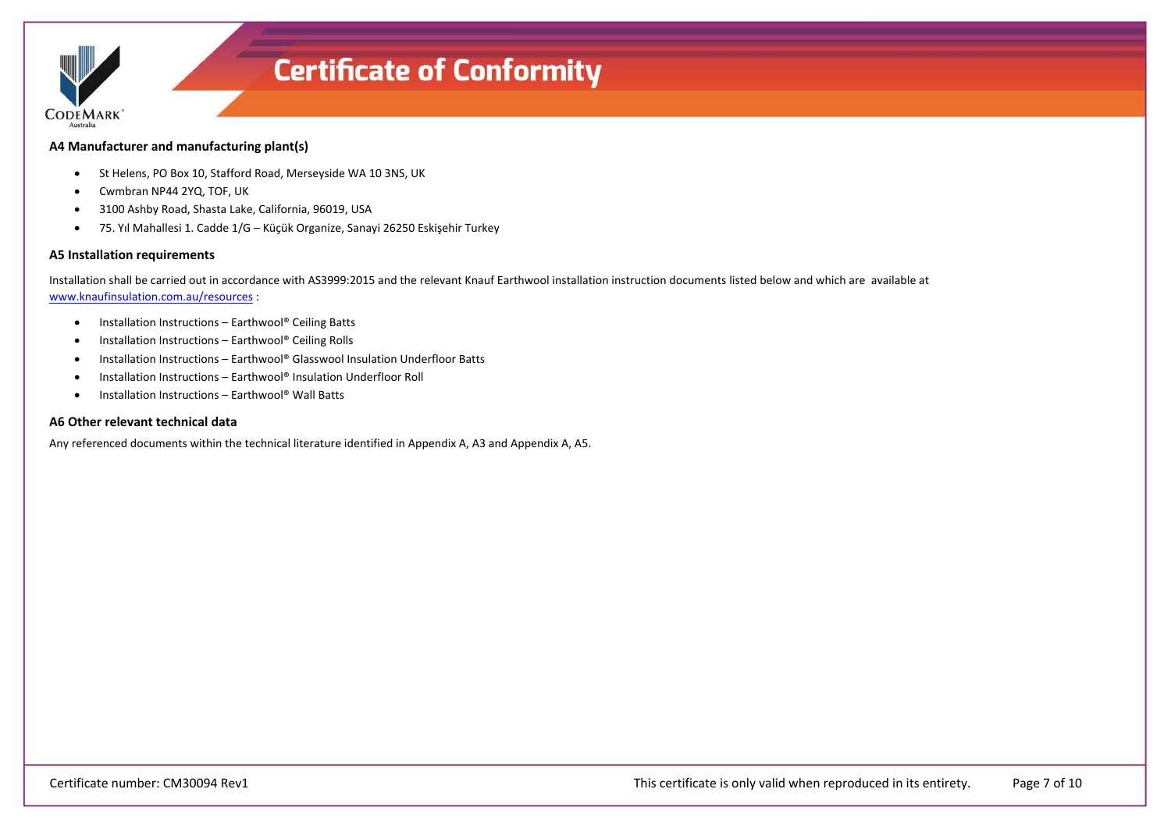

## **A4 Manufacturer and manufacturing plant(s)**

- St Helens, PO Box 10, Stafford Road, Merseyside WA 10 3NS, UK
- Cwmbran NP44 2YQ, TOF, UK
- 3100 Ashby Road, Shasta Lake, California, 96019, USA
- 75. Yıl Mahallesi 1. Cadde 1/G Küçük Organize, Sanayi 26250 Eskişehir Turkey

## **A5 Installation requirements**

Installation shall be carried out in accordance with AS3999:2015 and the relevant Knauf Earthwool installation instruction documents listed below and which are available at [www.knaufinsulation.com.au/resources](http://www.knaufinsulation.com.au/resources) :

- Installation Instructions Earthwool® Ceiling Batts
- Installation Instructions Earthwool® Ceiling Rolls
- Installation Instructions Earthwool® Glasswool Insulation Underfloor Batts
- Installation Instructions Earthwool<sup>®</sup> Insulation Underfloor Roll
- Installation Instructions Earthwool® Wall Batts

### **A6 Other relevant technical data**

Any referenced documents within the technical literature identified in Appendix A, A3 and Appendix A, A5.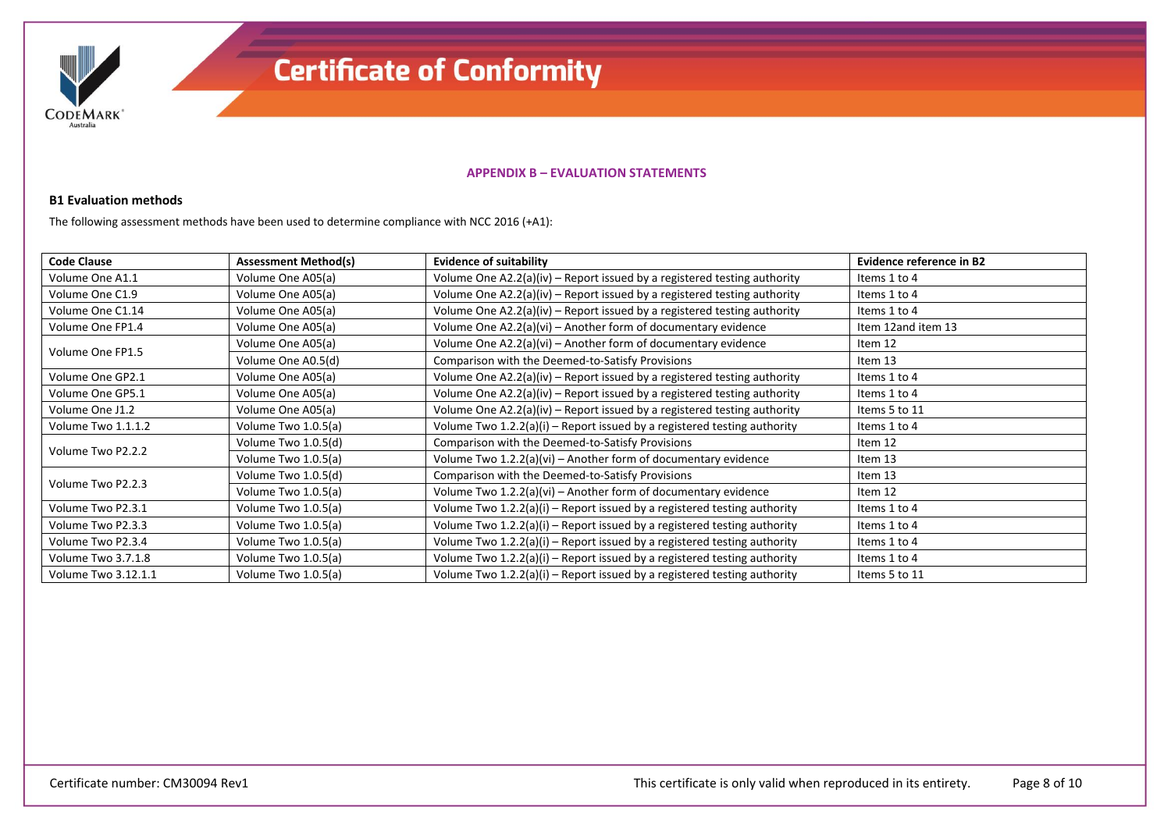

### **APPENDIX B – EVALUATION STATEMENTS**

# **B1 Evaluation methods**

The following assessment methods have been used to determine compliance with NCC 2016 (+A1):

| <b>Code Clause</b>                         | <b>Assessment Method(s)</b> | <b>Evidence of suitability</b>                                             | Evidence reference in B2 |
|--------------------------------------------|-----------------------------|----------------------------------------------------------------------------|--------------------------|
| Volume One A1.1                            | Volume One A05(a)           | Volume One A2.2(a)(iv) - Report issued by a registered testing authority   | Items 1 to 4             |
| Volume One C1.9                            | Volume One A05(a)           | Volume One $A2.2(a)(iv)$ – Report issued by a registered testing authority | Items 1 to 4             |
| Volume One C1.14                           | Volume One A05(a)           | Volume One $A2.2(a)(iv)$ – Report issued by a registered testing authority | Items 1 to 4             |
| Volume One FP1.4                           | Volume One A05(a)           | Volume One $A2.2(a)(vi)$ – Another form of documentary evidence            | Item 12and item 13       |
| Volume One FP1.5                           | Volume One A05(a)           | Volume One A2.2(a)(vi) - Another form of documentary evidence              | Item 12                  |
|                                            | Volume One A0.5(d)          | Comparison with the Deemed-to-Satisfy Provisions                           | Item 13                  |
| Volume One A05(a)<br>Volume One GP2.1      |                             | Volume One $A2.2(a)(iv)$ – Report issued by a registered testing authority | Items 1 to 4             |
| Volume One GP5.1                           | Volume One A05(a)           | Volume One $A2.2(a)(iv)$ – Report issued by a registered testing authority | Items 1 to 4             |
| Volume One A05(a)<br>Volume One J1.2       |                             | Volume One $A2.2(a)(iv)$ – Report issued by a registered testing authority | Items 5 to 11            |
| Volume Two 1.1.1.2                         | Volume Two 1.0.5(a)         | Volume Two $1.2.2(a)(i)$ – Report issued by a registered testing authority | Items 1 to 4             |
| Volume Two P2.2.2                          | Volume Two 1.0.5(d)         | Comparison with the Deemed-to-Satisfy Provisions                           | Item 12                  |
|                                            | Volume Two 1.0.5(a)         | Volume Two $1.2.2(a)(vi)$ – Another form of documentary evidence           | Item 13                  |
| Volume Two P2.2.3                          | Volume Two 1.0.5(d)         | Comparison with the Deemed-to-Satisfy Provisions                           | Item 13                  |
|                                            | Volume Two 1.0.5(a)         | Volume Two 1.2.2(a)(vi) - Another form of documentary evidence             | Item 12                  |
| Volume Two P2.3.1<br>Volume Two 1.0.5(a)   |                             | Volume Two $1.2.2(a)(i)$ – Report issued by a registered testing authority | Items 1 to 4             |
| Volume Two P2.3.3                          | Volume Two 1.0.5(a)         | Volume Two $1.2.2(a)(i)$ – Report issued by a registered testing authority | Items 1 to 4             |
| Volume Two P2.3.4                          | Volume Two 1.0.5(a)         | Volume Two $1.2.2(a)(i)$ – Report issued by a registered testing authority | Items 1 to 4             |
| Volume Two 3.7.1.8<br>Volume Two 1.0.5(a)  |                             | Volume Two $1.2.2(a)(i)$ – Report issued by a registered testing authority | Items 1 to 4             |
| Volume Two 3.12.1.1<br>Volume Two 1.0.5(a) |                             | Volume Two $1.2.2(a)(i)$ – Report issued by a registered testing authority | Items 5 to 11            |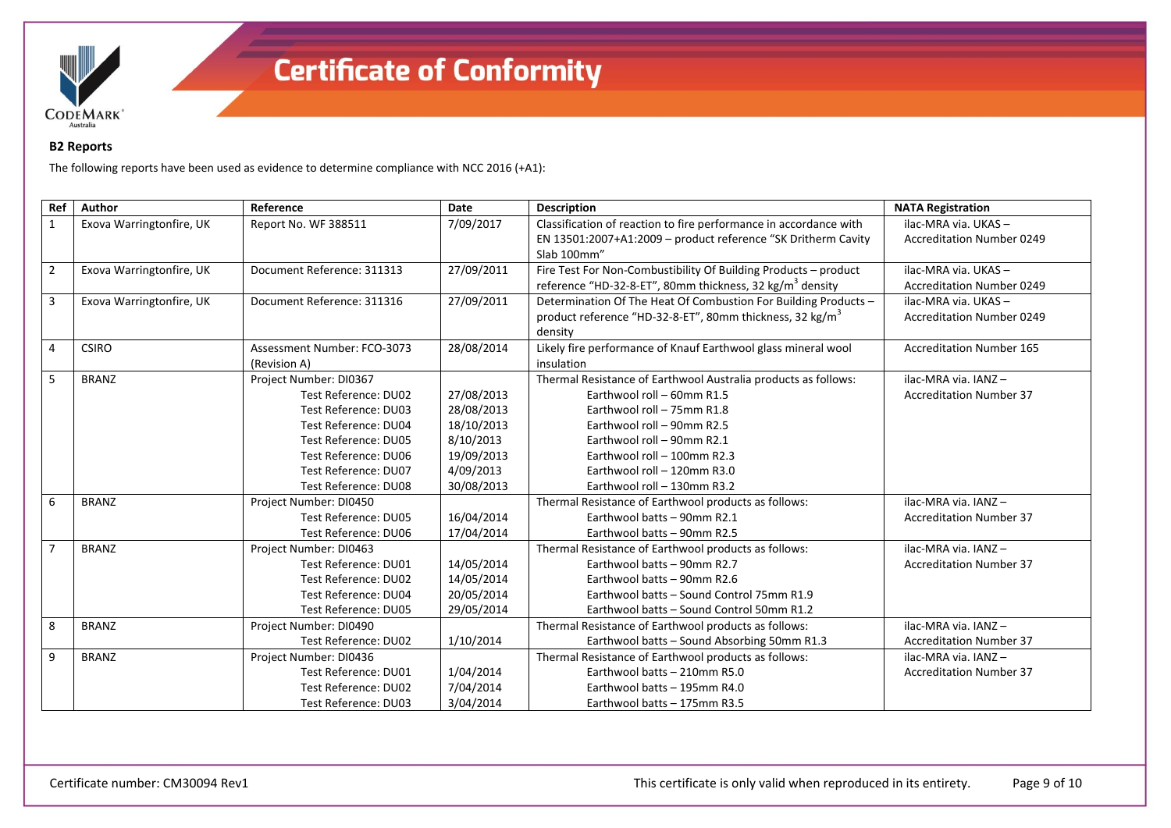

# **B2 Reports**

The following reports have been used as evidence to determine compliance with NCC 2016 (+A1):

| Ref            | Author                   | Reference                   | Date       | <b>Description</b>                                                   | <b>NATA Registration</b>         |
|----------------|--------------------------|-----------------------------|------------|----------------------------------------------------------------------|----------------------------------|
| $\mathbf{1}$   | Exova Warringtonfire, UK | Report No. WF 388511        | 7/09/2017  | Classification of reaction to fire performance in accordance with    | ilac-MRA via. UKAS-              |
|                |                          |                             |            | EN 13501:2007+A1:2009 - product reference "SK Dritherm Cavity        | <b>Accreditation Number 0249</b> |
|                |                          |                             |            | Slab 100mm"                                                          |                                  |
| $\overline{2}$ | Exova Warringtonfire, UK | Document Reference: 311313  | 27/09/2011 | Fire Test For Non-Combustibility Of Building Products - product      | ilac-MRA via. UKAS-              |
|                |                          |                             |            | reference "HD-32-8-ET", 80mm thickness, 32 kg/m <sup>3</sup> density | <b>Accreditation Number 0249</b> |
| 3              | Exova Warringtonfire, UK | Document Reference: 311316  | 27/09/2011 | Determination Of The Heat Of Combustion For Building Products -      | ilac-MRA via. UKAS-              |
|                |                          |                             |            | product reference "HD-32-8-ET", 80mm thickness, 32 kg/m <sup>3</sup> | <b>Accreditation Number 0249</b> |
|                |                          |                             |            | density                                                              |                                  |
| 4              | <b>CSIRO</b>             | Assessment Number: FCO-3073 | 28/08/2014 | Likely fire performance of Knauf Earthwool glass mineral wool        | <b>Accreditation Number 165</b>  |
|                |                          | (Revision A)                |            | insulation                                                           |                                  |
| $5^{\circ}$    | <b>BRANZ</b>             | Project Number: DI0367      |            | Thermal Resistance of Earthwool Australia products as follows:       | ilac-MRA via. IANZ-              |
|                |                          | Test Reference: DU02        | 27/08/2013 | Earthwool roll - 60mm R1.5                                           | <b>Accreditation Number 37</b>   |
|                |                          | Test Reference: DU03        | 28/08/2013 | Earthwool roll - 75mm R1.8                                           |                                  |
|                |                          | Test Reference: DU04        | 18/10/2013 | Earthwool roll - 90mm R2.5                                           |                                  |
|                |                          | Test Reference: DU05        | 8/10/2013  | Earthwool roll - 90mm R2.1                                           |                                  |
|                |                          | Test Reference: DU06        | 19/09/2013 | Earthwool roll - 100mm R2.3                                          |                                  |
|                |                          | Test Reference: DU07        | 4/09/2013  | Earthwool roll - 120mm R3.0                                          |                                  |
|                |                          | Test Reference: DU08        | 30/08/2013 | Earthwool roll - 130mm R3.2                                          |                                  |
| 6              | <b>BRANZ</b>             | Project Number: DI0450      |            | Thermal Resistance of Earthwool products as follows:                 | ilac-MRA via. IANZ-              |
|                |                          | Test Reference: DU05        | 16/04/2014 | Earthwool batts - 90mm R2.1                                          | <b>Accreditation Number 37</b>   |
|                |                          | Test Reference: DU06        | 17/04/2014 | Earthwool batts - 90mm R2.5                                          |                                  |
| $\overline{7}$ | <b>BRANZ</b>             | Project Number: DI0463      |            | Thermal Resistance of Earthwool products as follows:                 | ilac-MRA via. IANZ-              |
|                |                          | Test Reference: DU01        | 14/05/2014 | Earthwool batts - 90mm R2.7                                          | <b>Accreditation Number 37</b>   |
|                |                          | Test Reference: DU02        | 14/05/2014 | Earthwool batts - 90mm R2.6                                          |                                  |
|                |                          | Test Reference: DU04        | 20/05/2014 | Earthwool batts - Sound Control 75mm R1.9                            |                                  |
|                |                          | Test Reference: DU05        | 29/05/2014 | Earthwool batts - Sound Control 50mm R1.2                            |                                  |
| 8              | <b>BRANZ</b>             | Project Number: DI0490      |            | Thermal Resistance of Earthwool products as follows:                 | ilac-MRA via. IANZ-              |
|                |                          | Test Reference: DU02        | 1/10/2014  | Earthwool batts - Sound Absorbing 50mm R1.3                          | <b>Accreditation Number 37</b>   |
| 9              | <b>BRANZ</b>             | Project Number: DI0436      |            | Thermal Resistance of Earthwool products as follows:                 | ilac-MRA via. IANZ-              |
|                |                          | Test Reference: DU01        | 1/04/2014  | Earthwool batts - 210mm R5.0                                         | <b>Accreditation Number 37</b>   |
|                |                          | Test Reference: DU02        | 7/04/2014  | Earthwool batts - 195mm R4.0                                         |                                  |
|                |                          | Test Reference: DU03        | 3/04/2014  | Earthwool batts - 175mm R3.5                                         |                                  |